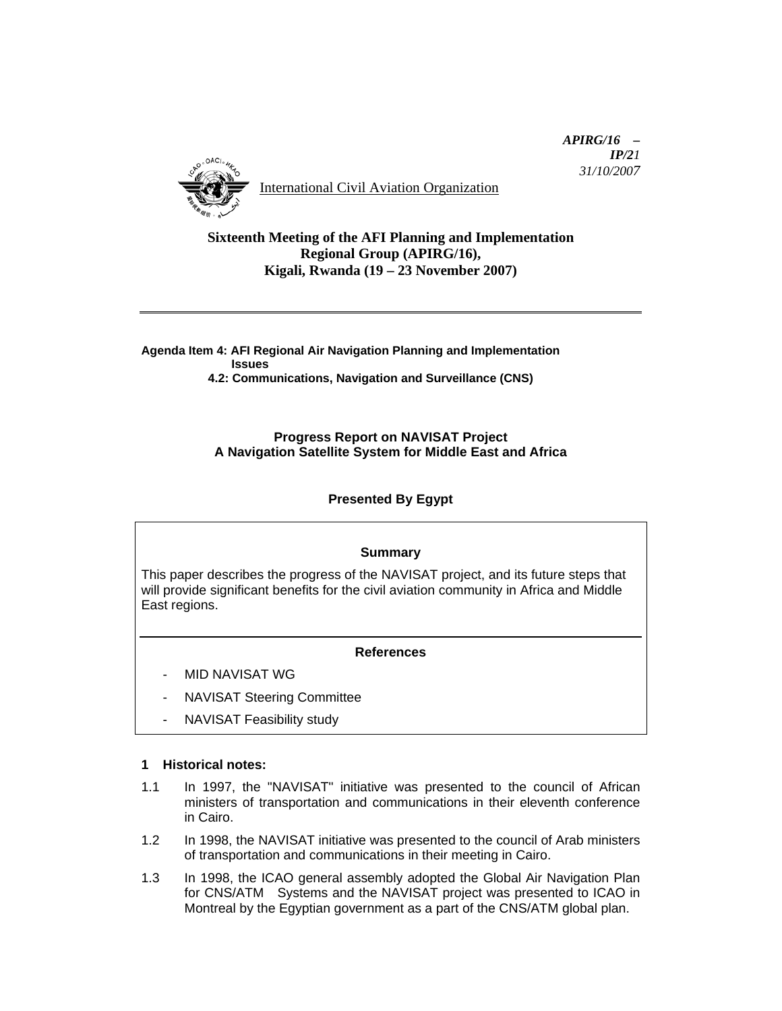

International Civil Aviation Organization

 *APIRG/16 – IP/21 31/10/2007*

## **Sixteenth Meeting of the AFI Planning and Implementation Regional Group (APIRG/16), Kigali, Rwanda (19 – 23 November 2007)**

**Agenda Item 4: AFI Regional Air Navigation Planning and Implementation Issues** 

 **4.2: Communications, Navigation and Surveillance (CNS)** 

#### **Progress Report on NAVISAT Project A Navigation Satellite System for Middle East and Africa**

# **Presented By Egypt**

#### **Summary**

This paper describes the progress of the NAVISAT project, and its future steps that will provide significant benefits for the civil aviation community in Africa and Middle East regions.

#### **References**

- MID NAVISAT WG
- NAVISAT Steering Committee
- NAVISAT Feasibility study

#### **1 Historical notes:**

- 1.1 In 1997, the "NAVISAT" initiative was presented to the council of African ministers of transportation and communications in their eleventh conference in Cairo.
- 1.2 In 1998, the NAVISAT initiative was presented to the council of Arab ministers of transportation and communications in their meeting in Cairo.
- 1.3 In 1998, the ICAO general assembly adopted the Global Air Navigation Plan for CNS/ATM Systems and the NAVISAT project was presented to ICAO in Montreal by the Egyptian government as a part of the CNS/ATM global plan.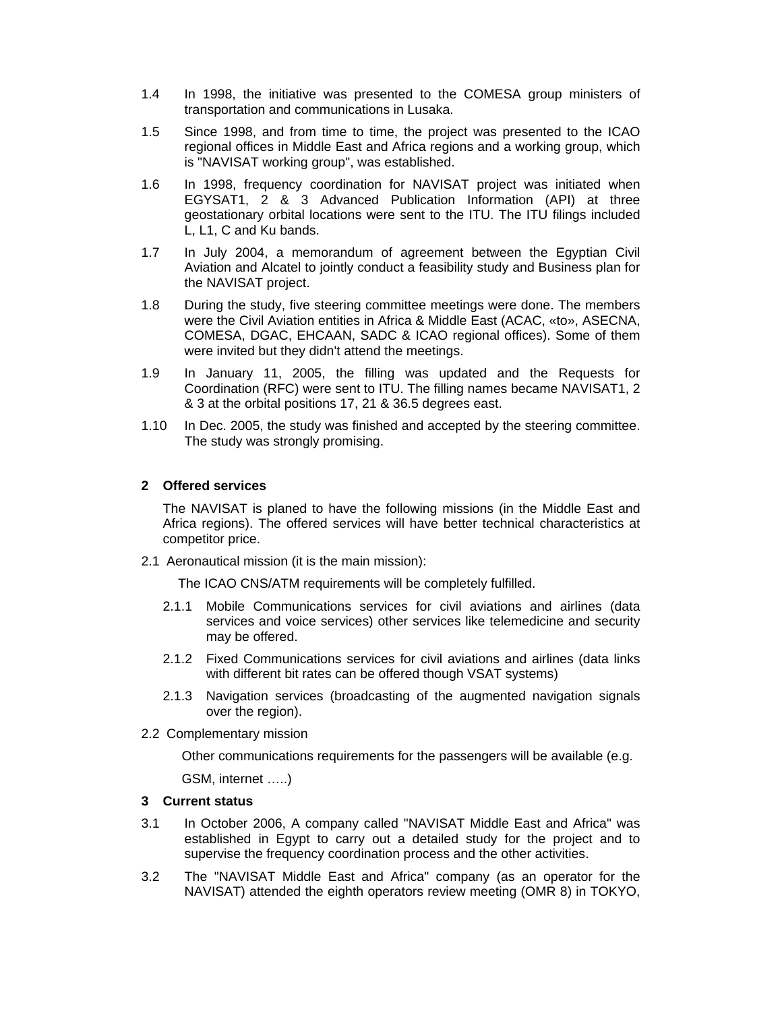- 1.4 In 1998, the initiative was presented to the COMESA group ministers of transportation and communications in Lusaka.
- 1.5 Since 1998, and from time to time, the project was presented to the ICAO regional offices in Middle East and Africa regions and a working group, which is "NAVISAT working group", was established.
- 1.6 In 1998, frequency coordination for NAVISAT project was initiated when EGYSAT1, 2 & 3 Advanced Publication Information (API) at three geostationary orbital locations were sent to the ITU. The ITU filings included L, L1, C and Ku bands.
- 1.7 In July 2004, a memorandum of agreement between the Egyptian Civil Aviation and Alcatel to jointly conduct a feasibility study and Business plan for the NAVISAT project.
- 1.8 During the study, five steering committee meetings were done. The members were the Civil Aviation entities in Africa & Middle East (ACAC, «to», ASECNA, COMESA, DGAC, EHCAAN, SADC & ICAO regional offices). Some of them were invited but they didn't attend the meetings.
- 1.9 In January 11, 2005, the filling was updated and the Requests for Coordination (RFC) were sent to ITU. The filling names became NAVISAT1, 2 & 3 at the orbital positions 17, 21 & 36.5 degrees east.
- 1.10 In Dec. 2005, the study was finished and accepted by the steering committee. The study was strongly promising.

#### **2 Offered services**

The NAVISAT is planed to have the following missions (in the Middle East and Africa regions). The offered services will have better technical characteristics at competitor price.

2.1 Aeronautical mission (it is the main mission):

The ICAO CNS/ATM requirements will be completely fulfilled.

- 2.1.1 Mobile Communications services for civil aviations and airlines (data services and voice services) other services like telemedicine and security may be offered.
- 2.1.2 Fixed Communications services for civil aviations and airlines (data links with different bit rates can be offered though VSAT systems)
- 2.1.3 Navigation services (broadcasting of the augmented navigation signals over the region).
- 2.2 Complementary mission

Other communications requirements for the passengers will be available (e.g.

GSM, internet …..)

## **3 Current status**

- 3.1 In October 2006, A company called "NAVISAT Middle East and Africa" was established in Egypt to carry out a detailed study for the project and to supervise the frequency coordination process and the other activities.
- 3.2 The "NAVISAT Middle East and Africa" company (as an operator for the NAVISAT) attended the eighth operators review meeting (OMR 8) in TOKYO,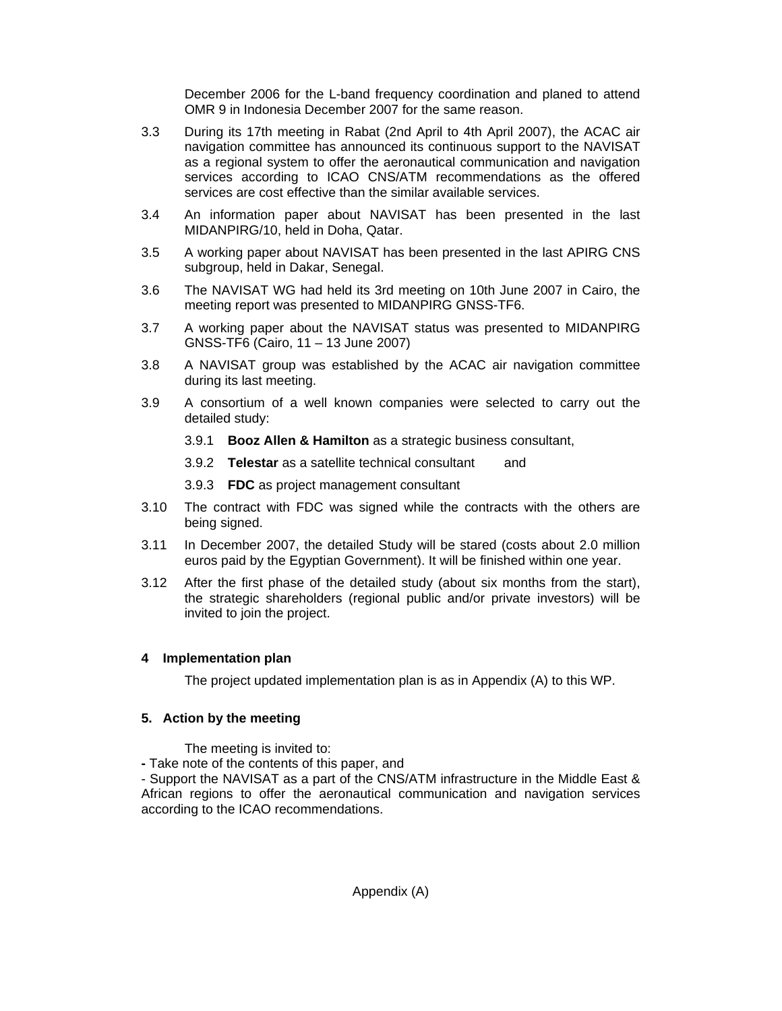December 2006 for the L-band frequency coordination and planed to attend OMR 9 in Indonesia December 2007 for the same reason.

- 3.3 During its 17th meeting in Rabat (2nd April to 4th April 2007), the ACAC air navigation committee has announced its continuous support to the NAVISAT as a regional system to offer the aeronautical communication and navigation services according to ICAO CNS/ATM recommendations as the offered services are cost effective than the similar available services.
- 3.4 An information paper about NAVISAT has been presented in the last MIDANPIRG/10, held in Doha, Qatar.
- 3.5 A working paper about NAVISAT has been presented in the last APIRG CNS subgroup, held in Dakar, Senegal.
- 3.6 The NAVISAT WG had held its 3rd meeting on 10th June 2007 in Cairo, the meeting report was presented to MIDANPIRG GNSS-TF6.
- 3.7 A working paper about the NAVISAT status was presented to MIDANPIRG GNSS-TF6 (Cairo, 11 – 13 June 2007)
- 3.8 A NAVISAT group was established by the ACAC air navigation committee during its last meeting.
- 3.9 A consortium of a well known companies were selected to carry out the detailed study:
	- 3.9.1 **Booz Allen & Hamilton** as a strategic business consultant,
	- 3.9.2 **Telestar** as a satellite technical consultant and
	- 3.9.3 **FDC** as project management consultant
- 3.10 The contract with FDC was signed while the contracts with the others are being signed.
- 3.11 In December 2007, the detailed Study will be stared (costs about 2.0 million euros paid by the Egyptian Government). It will be finished within one year.
- 3.12 After the first phase of the detailed study (about six months from the start), the strategic shareholders (regional public and/or private investors) will be invited to join the project.

#### **4 Implementation plan**

The project updated implementation plan is as in Appendix (A) to this WP.

#### **5. Action by the meeting**

The meeting is invited to:

**-** Take note of the contents of this paper, and

- Support the NAVISAT as a part of the CNS/ATM infrastructure in the Middle East & African regions to offer the aeronautical communication and navigation services according to the ICAO recommendations.